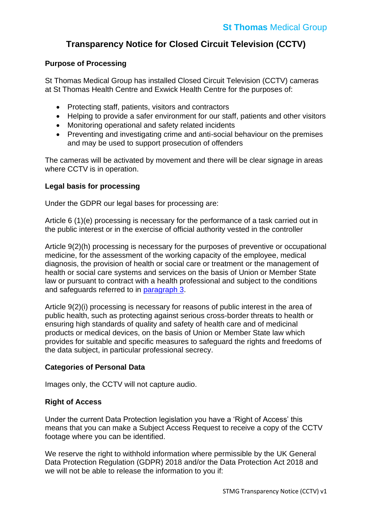# **Transparency Notice for Closed Circuit Television (CCTV)**

## **Purpose of Processing**

St Thomas Medical Group has installed Closed Circuit Television (CCTV) cameras at St Thomas Health Centre and Exwick Health Centre for the purposes of:

- Protecting staff, patients, visitors and contractors
- Helping to provide a safer environment for our staff, patients and other visitors
- Monitoring operational and safety related incidents
- Preventing and investigating crime and anti-social behaviour on the premises and may be used to support prosecution of offenders

The cameras will be activated by movement and there will be clear signage in areas where CCTV is in operation.

## **Legal basis for processing**

Under the GDPR our legal bases for processing are:

Article 6 (1)(e) processing is necessary for the performance of a task carried out in the public interest or in the exercise of official authority vested in the controller

Article 9(2)(h) processing is necessary for the purposes of preventive or occupational medicine, for the assessment of the working capacity of the employee, medical diagnosis, the provision of health or social care or treatment or the management of health or social care systems and services on the basis of Union or Member State law or pursuant to contract with a health professional and subject to the conditions and safeguards referred to in [paragraph 3.](https://uk-gdpr.org/chapter-2-article-9/)

Article 9(2)(i) processing is necessary for reasons of public interest in the area of public health, such as protecting against serious cross-border threats to health or ensuring high standards of quality and safety of health care and of medicinal products or medical devices, on the basis of Union or Member State law which provides for suitable and specific measures to safeguard the rights and freedoms of the data subject, in particular professional secrecy.

### **Categories of Personal Data**

Images only, the CCTV will not capture audio.

### **Right of Access**

Under the current Data Protection legislation you have a 'Right of Access' this means that you can make a Subject Access Request to receive a copy of the CCTV footage where you can be identified.

We reserve the right to withhold information where permissible by the UK General Data Protection Regulation (GDPR) 2018 and/or the Data Protection Act 2018 and we will not be able to release the information to you if: